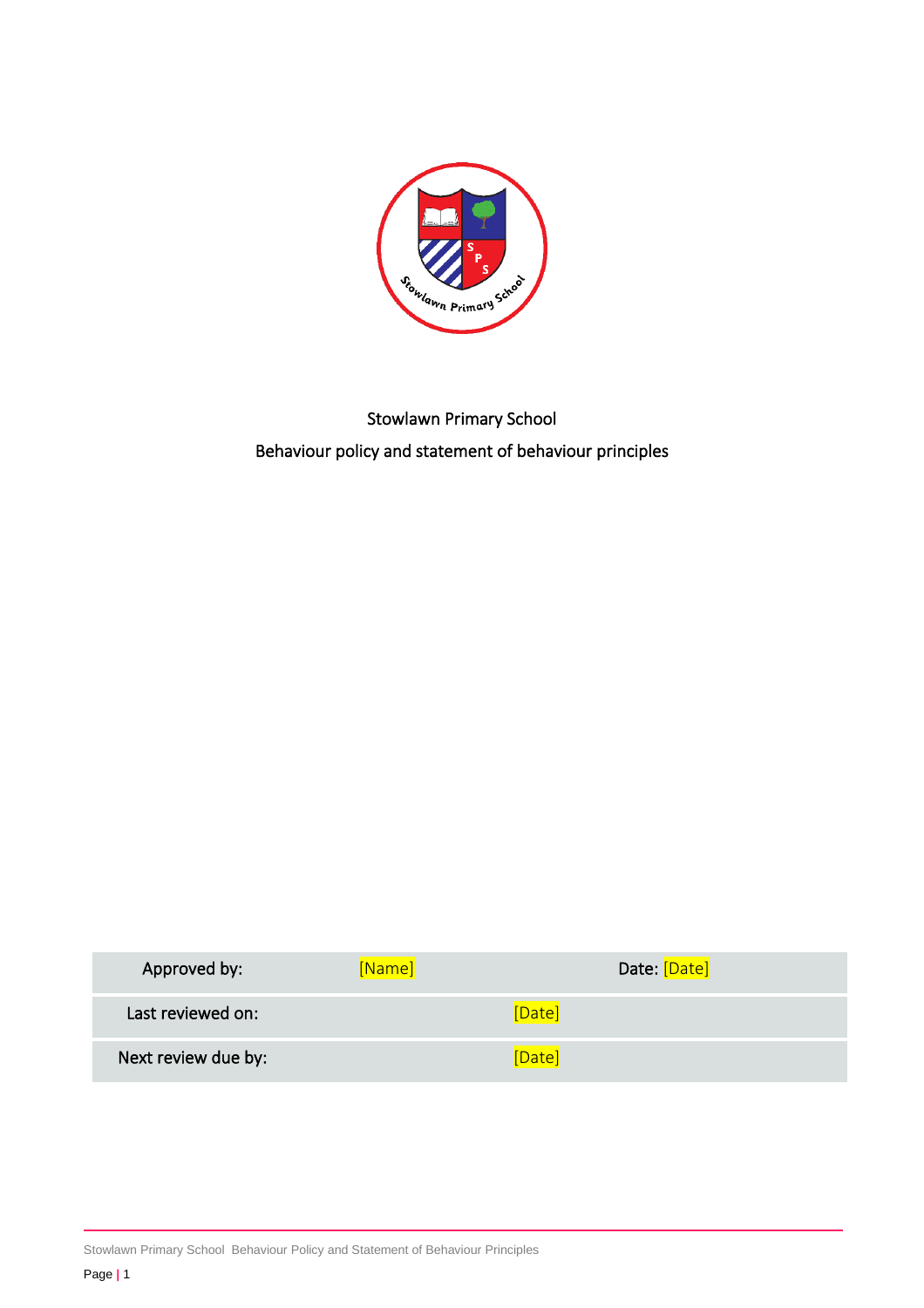

# Stowlawn Primary School Behaviour policy and statement of behaviour principles

| Approved by:        | [Name] | Date: [Date] |  |
|---------------------|--------|--------------|--|
| Last reviewed on:   |        | [Date]       |  |
| Next review due by: |        | Date         |  |

Stowlawn Primary School Behaviour Policy and Statement of Behaviour Principles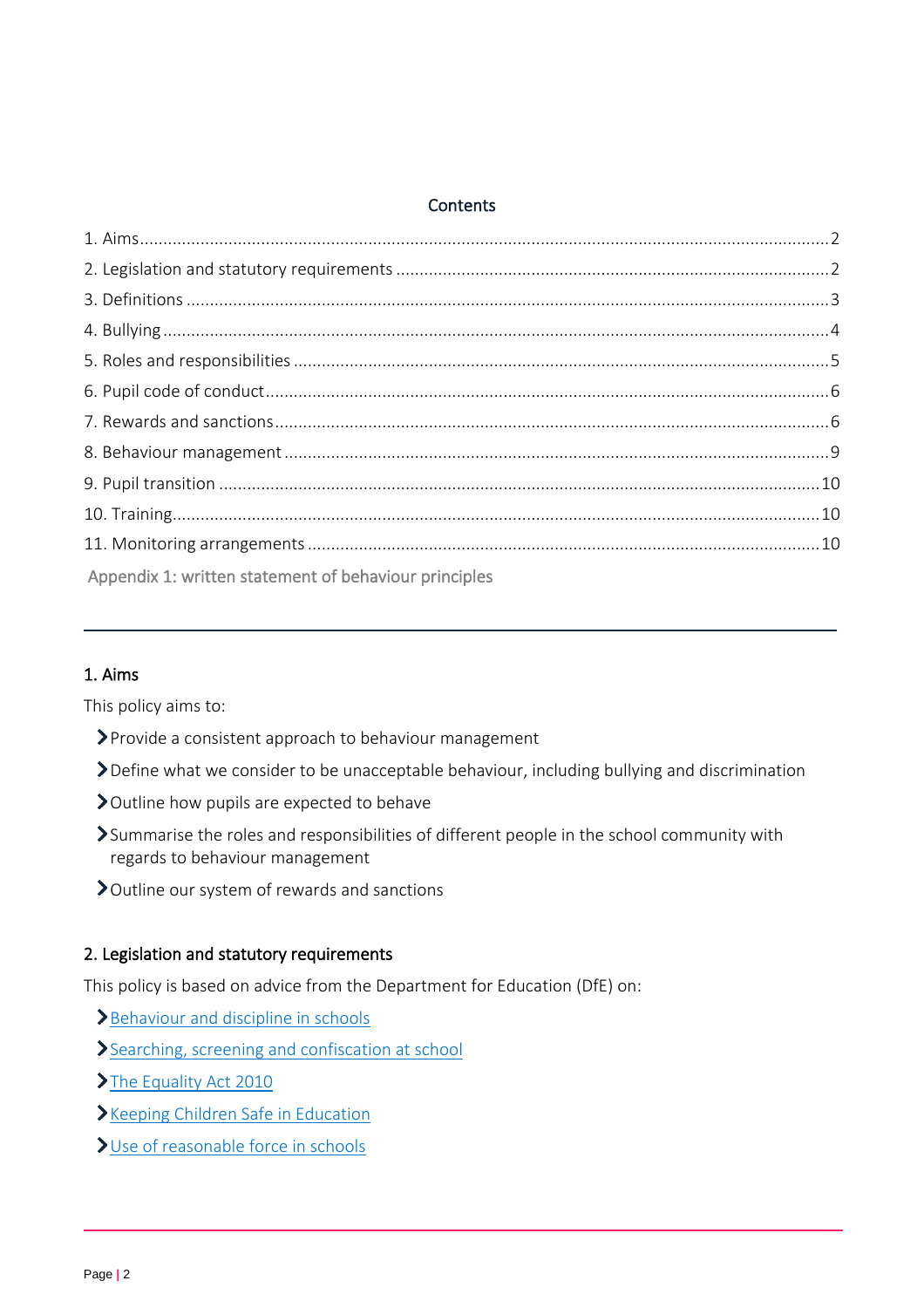#### **Contents**

| Appendix 1: written statement of behaviour principles |  |
|-------------------------------------------------------|--|

# <span id="page-1-0"></span>1. Aims

This policy aims to:

- Provide a consistent approach to behaviour management
- Define what we consider to be unacceptable behaviour, including bullying and discrimination
- > Outline how pupils are expected to behave
- Summarise the roles and responsibilities of different people in the school community with regards to behaviour management
- Outline our system of rewards and sanctions

#### <span id="page-1-1"></span>2. Legislation and statutory requirements

This policy is based on advice from the Department for Education (DfE) on:

- [Behaviour and discipline in schools](https://www.gov.uk/government/publications/behaviour-and-discipline-in-schools)
- [Searching, screening and confiscation at school](https://www.gov.uk/government/publications/searching-screening-and-confiscation)
- >[The Equality Act 2010](https://www.gov.uk/government/publications/equality-act-2010-advice-for-schools)
- **>[Keeping Children Safe in Education](https://www.gov.uk/government/publications/keeping-children-safe-in-education--2)**
- [Use of reasonable force in schools](https://www.gov.uk/government/publications/use-of-reasonable-force-in-schools)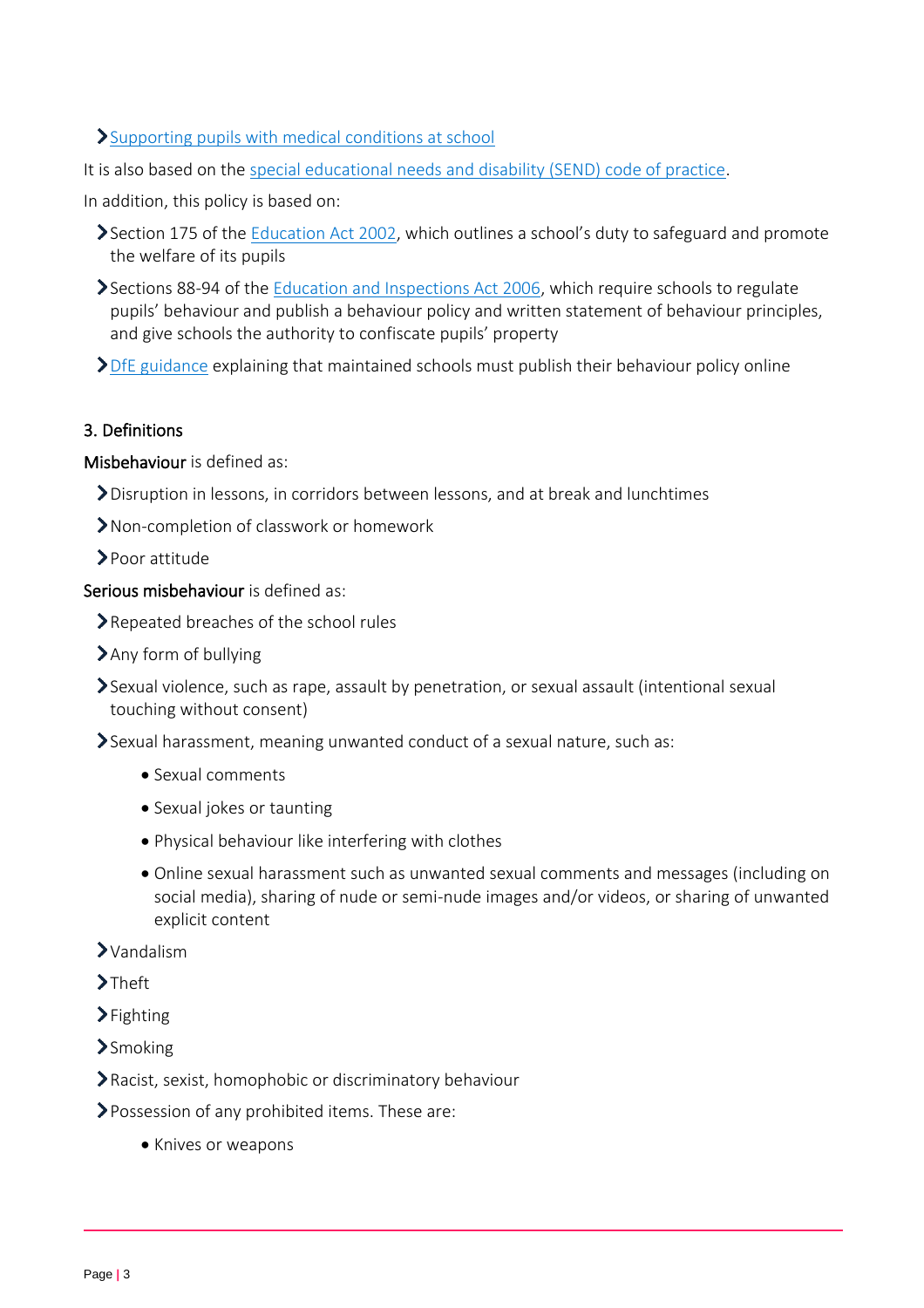# [Supporting pupils with medical conditions at school](https://www.gov.uk/government/publications/supporting-pupils-at-school-with-medical-conditions--3)

It is also based on the [special educational needs and disability \(SEND\) code of practice.](https://www.gov.uk/government/publications/send-code-of-practice-0-to-25)

In addition, this policy is based on:

- Section 175 of the **Education Act 2002**, which outlines a school's duty to safeguard and promote the welfare of its pupils
- Sections 88-94 of the [Education and Inspections Act 2006,](http://www.legislation.gov.uk/ukpga/2006/40/section/88) which require schools to regulate pupils' behaviour and publish a behaviour policy and written statement of behaviour principles, and give schools the authority to confiscate pupils' property

> [DfE guidance](https://www.gov.uk/guidance/what-maintained-schools-must-publish-online#behaviour-policy) explaining that maintained schools must publish their behaviour policy online

#### <span id="page-2-0"></span>3. Definitions

Misbehaviour is defined as:

- Disruption in lessons, in corridors between lessons, and at break and lunchtimes
- Non-completion of classwork or homework
- Poor attitude

Serious misbehaviour is defined as:

- ▶ Repeated breaches of the school rules
- Any form of bullying
- Sexual violence, such as rape, assault by penetration, or sexual assault (intentional sexual touching without consent)
- Sexual harassment, meaning unwanted conduct of a sexual nature, such as:
	- Sexual comments
	- Sexual jokes or taunting
	- Physical behaviour like interfering with clothes
	- Online sexual harassment such as unwanted sexual comments and messages (including on social media), sharing of nude or semi-nude images and/or videos, or sharing of unwanted explicit content
- Vandalism
- $\sum_{i=1}^{n}$
- $\sum$ Fighting
- >Smoking
- Racist, sexist, homophobic or discriminatory behaviour
- Possession of any prohibited items. These are:
	- Knives or weapons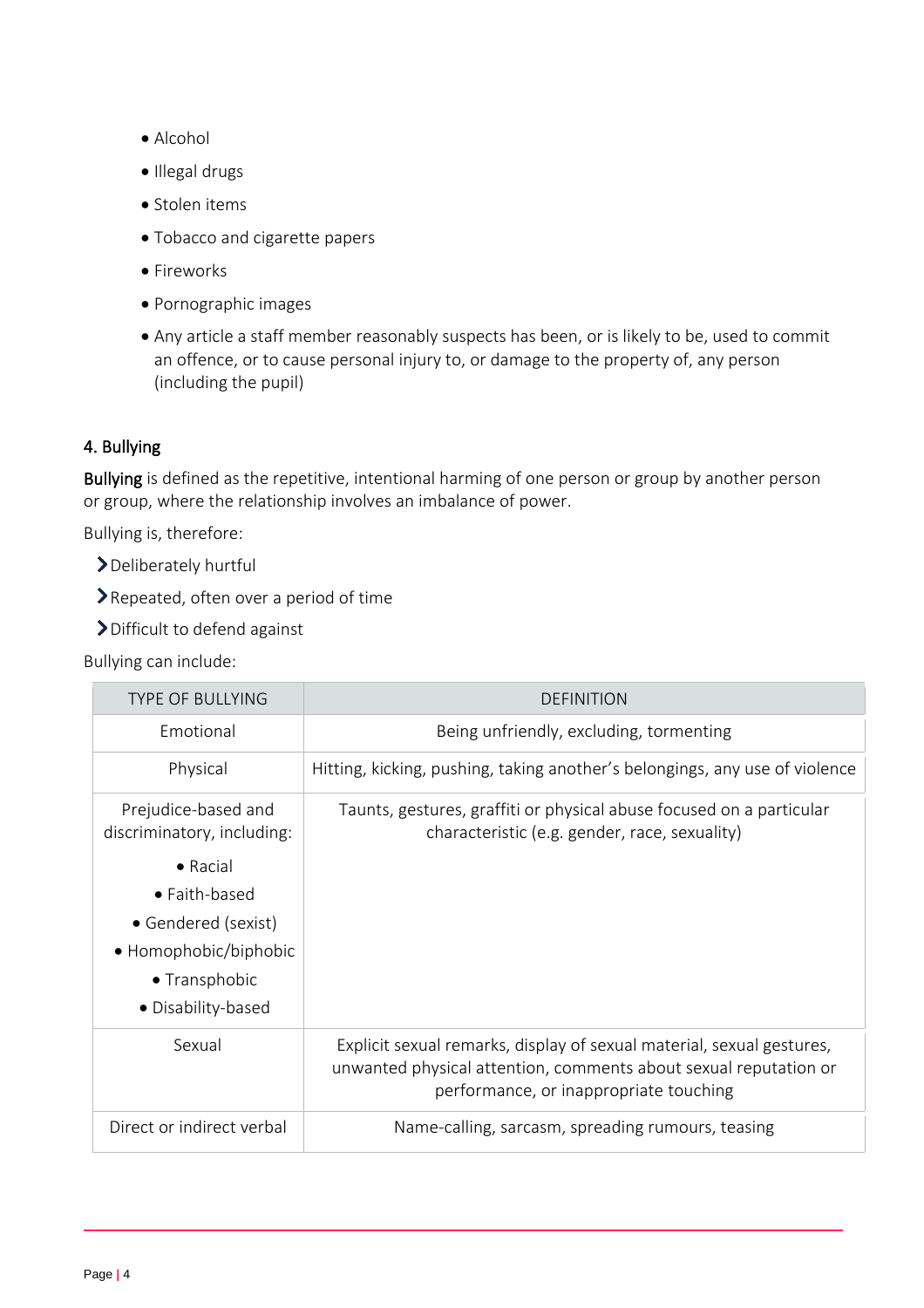- Alcohol
- Illegal drugs
- Stolen items
- Tobacco and cigarette papers
- Fireworks
- Pornographic images
- Any article a staff member reasonably suspects has been, or is likely to be, used to commit an offence, or to cause personal injury to, or damage to the property of, any person (including the pupil)

# <span id="page-3-0"></span>4. Bullying

Bullying is defined as the repetitive, intentional harming of one person or group by another person or group, where the relationship involves an imbalance of power.

Bullying is, therefore:

- Deliberately hurtful
- ▶ Repeated, often over a period of time
- Difficult to defend against

Bullying can include:

| <b>TYPE OF BULLYING</b>                                                                                                  | DEFINITION                                                                                                                                                                          |
|--------------------------------------------------------------------------------------------------------------------------|-------------------------------------------------------------------------------------------------------------------------------------------------------------------------------------|
| Emotional                                                                                                                | Being unfriendly, excluding, tormenting                                                                                                                                             |
| Physical                                                                                                                 | Hitting, kicking, pushing, taking another's belongings, any use of violence                                                                                                         |
| Prejudice-based and<br>discriminatory, including:                                                                        | Taunts, gestures, graffiti or physical abuse focused on a particular<br>characteristic (e.g. gender, race, sexuality)                                                               |
| $\bullet$ Racial<br>• Faith-based<br>• Gendered (sexist)<br>• Homophobic/biphobic<br>• Transphobic<br>· Disability-based |                                                                                                                                                                                     |
| Sexual                                                                                                                   | Explicit sexual remarks, display of sexual material, sexual gestures,<br>unwanted physical attention, comments about sexual reputation or<br>performance, or inappropriate touching |
| Direct or indirect verbal                                                                                                | Name-calling, sarcasm, spreading rumours, teasing                                                                                                                                   |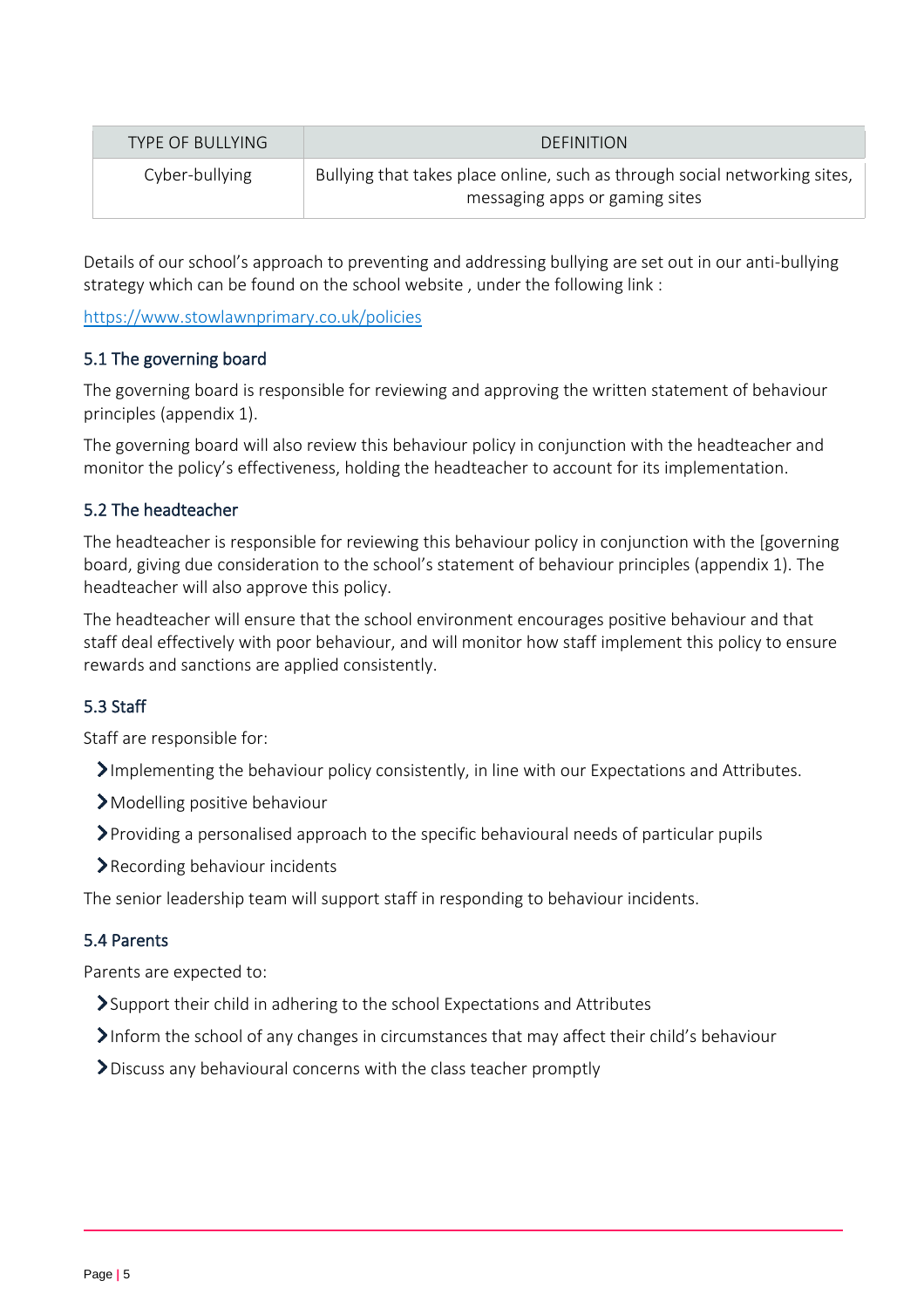| TYPE OF BULLYING | <b>DEFINITION</b>                                                                                            |
|------------------|--------------------------------------------------------------------------------------------------------------|
| Cyber-bullying   | Bullying that takes place online, such as through social networking sites,<br>messaging apps or gaming sites |

<span id="page-4-0"></span>Details of our school's approach to preventing and addressing bullying are set out in our anti-bullying strategy which can be found on the school website , under the following link :

<https://www.stowlawnprimary.co.uk/policies>

# 5.1 The governing board

The governing board is responsible for reviewing and approving the written statement of behaviour principles (appendix 1).

The governing board will also review this behaviour policy in conjunction with the headteacher and monitor the policy's effectiveness, holding the headteacher to account for its implementation.

# 5.2 The headteacher

The headteacher is responsible for reviewing this behaviour policy in conjunction with the [governing board, giving due consideration to the school's statement of behaviour principles (appendix 1). The headteacher will also approve this policy.

The headteacher will ensure that the school environment encourages positive behaviour and that staff deal effectively with poor behaviour, and will monitor how staff implement this policy to ensure rewards and sanctions are applied consistently.

# 5.3 Staff

Staff are responsible for:

- Implementing the behaviour policy consistently, in line with our Expectations and Attributes.
- Modelling positive behaviour
- Providing a personalised approach to the specific behavioural needs of particular pupils
- Recording behaviour incidents

The senior leadership team will support staff in responding to behaviour incidents.

# 5.4 Parents

Parents are expected to:

- Support their child in adhering to the school Expectations and Attributes
- Inform the school of any changes in circumstances that may affect their child's behaviour
- <span id="page-4-1"></span>Discuss any behavioural concerns with the class teacher promptly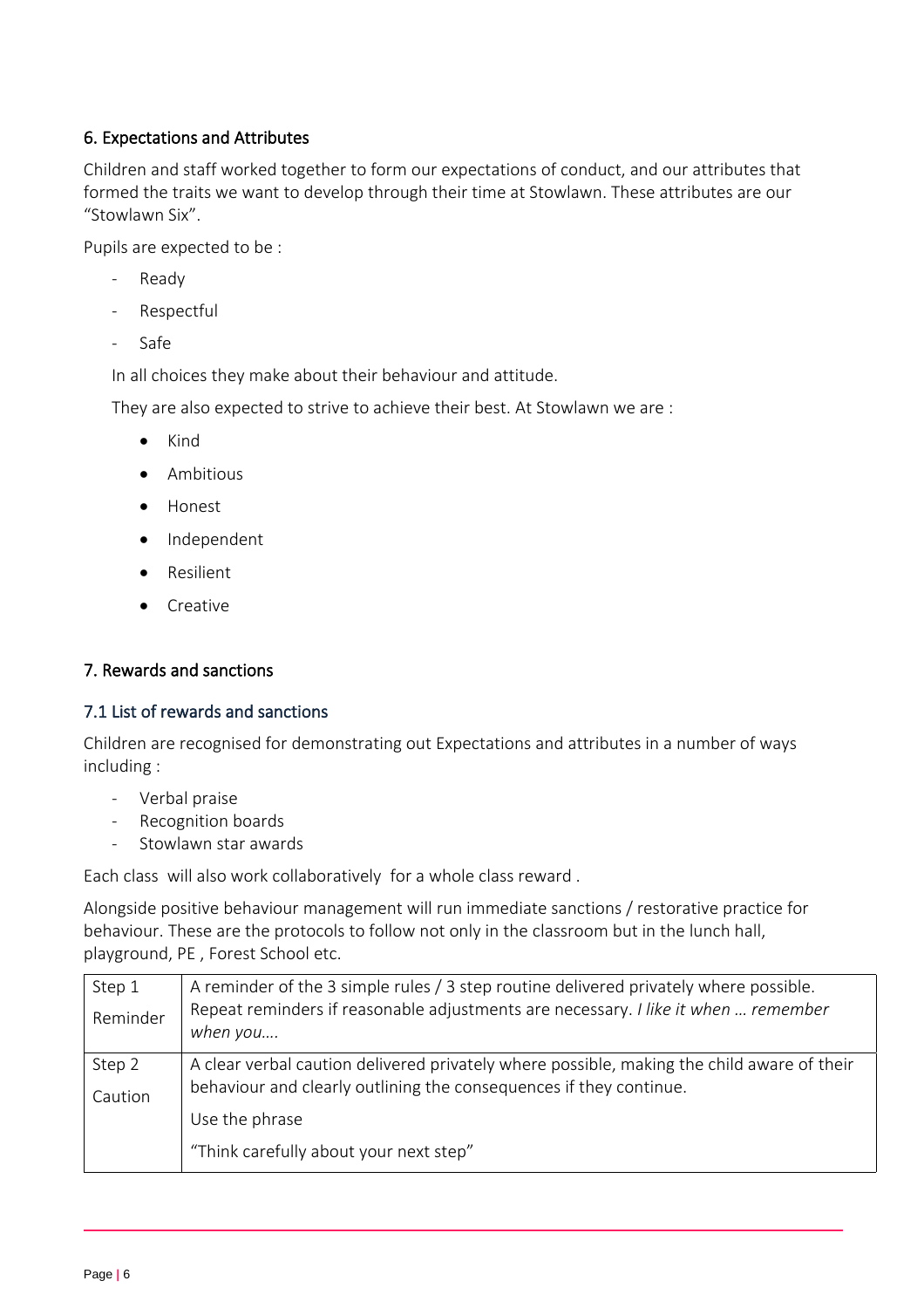# 6. Expectations and Attributes

Children and staff worked together to form our expectations of conduct, and our attributes that formed the traits we want to develop through their time at Stowlawn. These attributes are our "Stowlawn Six".

Pupils are expected to be :

- Ready
- Respectful
- Safe

In all choices they make about their behaviour and attitude.

They are also expected to strive to achieve their best. At Stowlawn we are :

- Kind
- Ambitious
- Honest
- Independent
- Resilient
- Creative

# <span id="page-5-0"></span>7. Rewards and sanctions

# 7.1 List of rewards and sanctions

Children are recognised for demonstrating out Expectations and attributes in a number of ways including :

- Verbal praise
- Recognition boards
- Stowlawn star awards

Each class will also work collaboratively for a whole class reward .

Alongside positive behaviour management will run immediate sanctions / restorative practice for behaviour. These are the protocols to follow not only in the classroom but in the lunch hall, playground, PE , Forest School etc.

| Step 1   | A reminder of the 3 simple rules / 3 step routine delivered privately where possible.          |
|----------|------------------------------------------------------------------------------------------------|
| Reminder | Repeat reminders if reasonable adjustments are necessary. I like it when  remember<br>when you |
|          |                                                                                                |
| Step 2   | A clear verbal caution delivered privately where possible, making the child aware of their     |
| Caution  | behaviour and clearly outlining the consequences if they continue.                             |
|          | Use the phrase                                                                                 |
|          | "Think carefully about your next step"                                                         |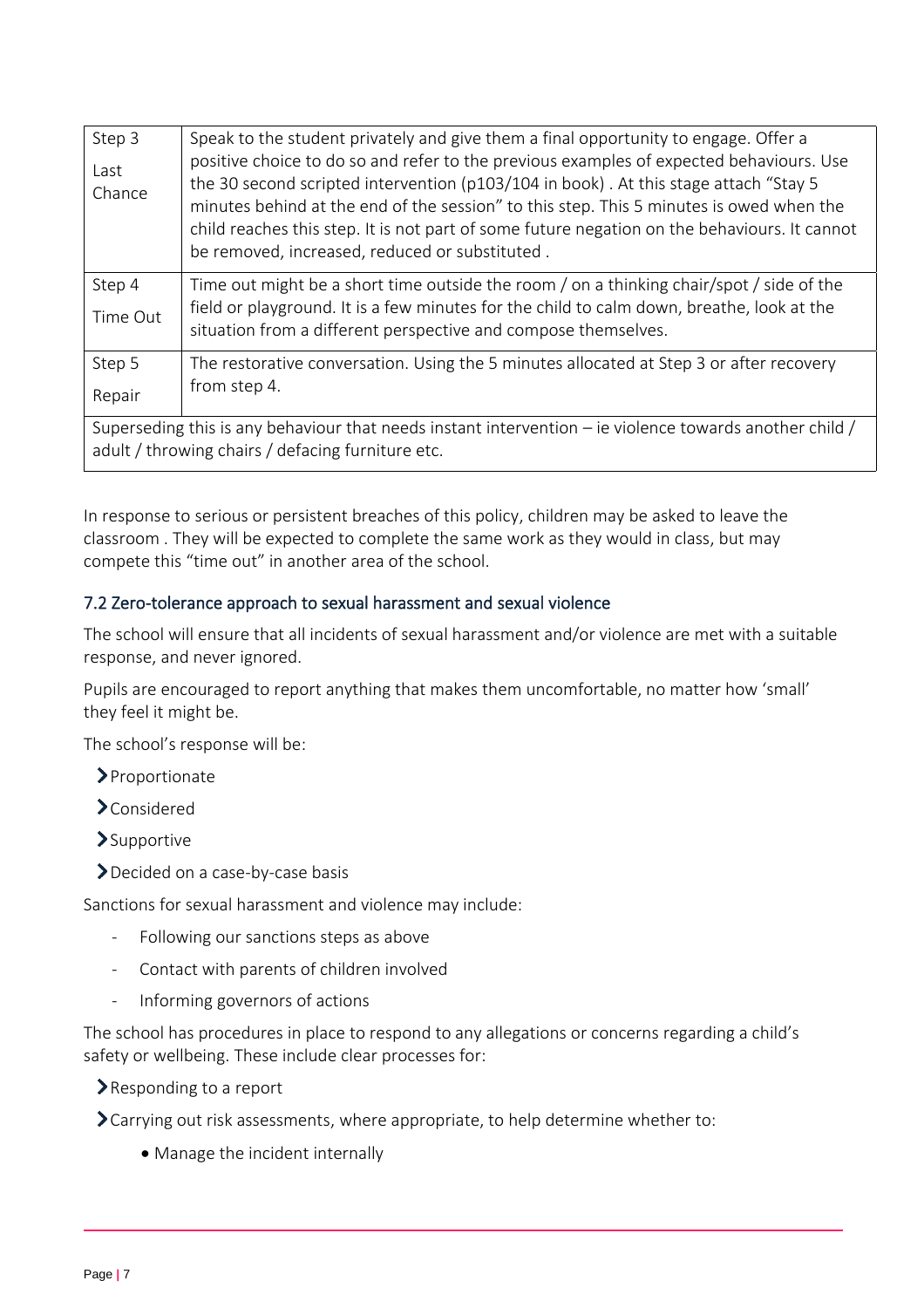| Step 3                                                                                                                                                       | Speak to the student privately and give them a final opportunity to engage. Offer a                                                                                                                                                                                                                                                                                                                                          |
|--------------------------------------------------------------------------------------------------------------------------------------------------------------|------------------------------------------------------------------------------------------------------------------------------------------------------------------------------------------------------------------------------------------------------------------------------------------------------------------------------------------------------------------------------------------------------------------------------|
| Last<br>Chance                                                                                                                                               | positive choice to do so and refer to the previous examples of expected behaviours. Use<br>the 30 second scripted intervention (p103/104 in book). At this stage attach "Stay 5<br>minutes behind at the end of the session" to this step. This 5 minutes is owed when the<br>child reaches this step. It is not part of some future negation on the behaviours. It cannot<br>be removed, increased, reduced or substituted. |
| Step 4                                                                                                                                                       | Time out might be a short time outside the room / on a thinking chair/spot / side of the                                                                                                                                                                                                                                                                                                                                     |
| Time Out                                                                                                                                                     | field or playground. It is a few minutes for the child to calm down, breathe, look at the<br>situation from a different perspective and compose themselves.                                                                                                                                                                                                                                                                  |
| Step 5                                                                                                                                                       | The restorative conversation. Using the 5 minutes allocated at Step 3 or after recovery                                                                                                                                                                                                                                                                                                                                      |
| Repair                                                                                                                                                       | from step 4.                                                                                                                                                                                                                                                                                                                                                                                                                 |
| Superseding this is any behaviour that needs instant intervention – ie violence towards another child /<br>adult / throwing chairs / defacing furniture etc. |                                                                                                                                                                                                                                                                                                                                                                                                                              |

In response to serious or persistent breaches of this policy, children may be asked to leave the classroom . They will be expected to complete the same work as they would in class, but may compete this "time out" in another area of the school.

# 7.2 Zero-tolerance approach to sexual harassment and sexual violence

The school will ensure that all incidents of sexual harassment and/or violence are met with a suitable response, and never ignored.

Pupils are encouraged to report anything that makes them uncomfortable, no matter how 'small' they feel it might be.

The school's response will be:

- Proportionate
- Considered
- Supportive
- Decided on a case-by-case basis

Sanctions for sexual harassment and violence may include:

- Following our sanctions steps as above
- Contact with parents of children involved
- Informing governors of actions

The school has procedures in place to respond to any allegations or concerns regarding a child's safety or wellbeing. These include clear processes for:

Responding to a report

Carrying out risk assessments, where appropriate, to help determine whether to:

• Manage the incident internally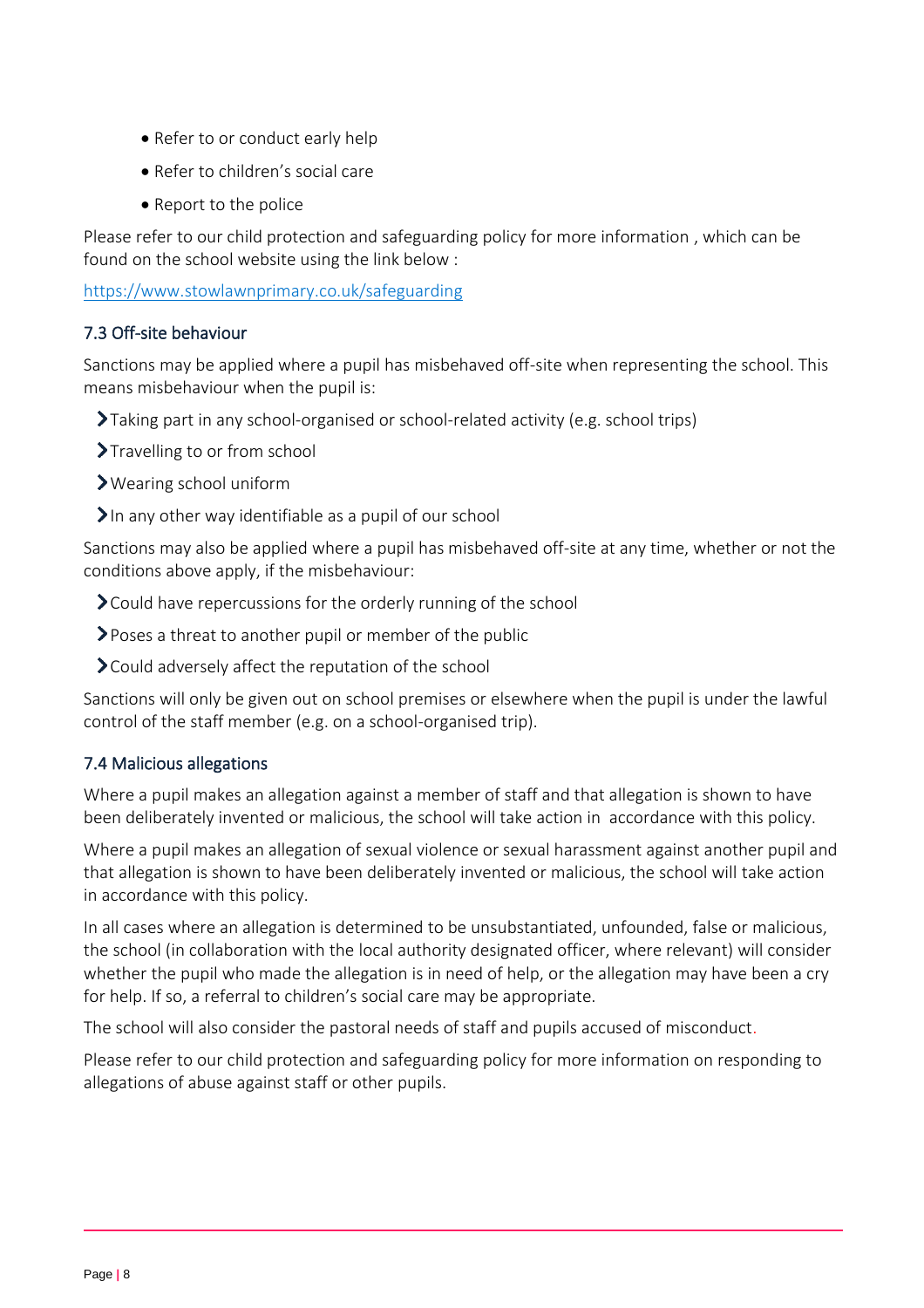- Refer to or conduct early help
- Refer to children's social care
- Report to the police

Please refer to our child protection and safeguarding policy for more information , which can be found on the school website using the link below :

<https://www.stowlawnprimary.co.uk/safeguarding>

# 7.3 Off-site behaviour

Sanctions may be applied where a pupil has misbehaved off-site when representing the school. This means misbehaviour when the pupil is:

- Taking part in any school-organised or school-related activity (e.g. school trips)
- >Travelling to or from school
- Wearing school uniform
- In any other way identifiable as a pupil of our school

Sanctions may also be applied where a pupil has misbehaved off-site at any time, whether or not the conditions above apply, if the misbehaviour:

- Could have repercussions for the orderly running of the school
- Poses a threat to another pupil or member of the public
- Could adversely affect the reputation of the school

Sanctions will only be given out on school premises or elsewhere when the pupil is under the lawful control of the staff member (e.g. on a school-organised trip).

# 7.4 Malicious allegations

Where a pupil makes an allegation against a member of staff and that allegation is shown to have been deliberately invented or malicious, the school will take action in accordance with this policy.

Where a pupil makes an allegation of sexual violence or sexual harassment against another pupil and that allegation is shown to have been deliberately invented or malicious, the school will take action in accordance with this policy.

In all cases where an allegation is determined to be unsubstantiated, unfounded, false or malicious, the school (in collaboration with the local authority designated officer, where relevant) will consider whether the pupil who made the allegation is in need of help, or the allegation may have been a cry for help. If so, a referral to children's social care may be appropriate.

The school will also consider the pastoral needs of staff and pupils accused of misconduct.

Please refer to our child protection and safeguarding policy for more information on responding to allegations of abuse against staff or other pupils.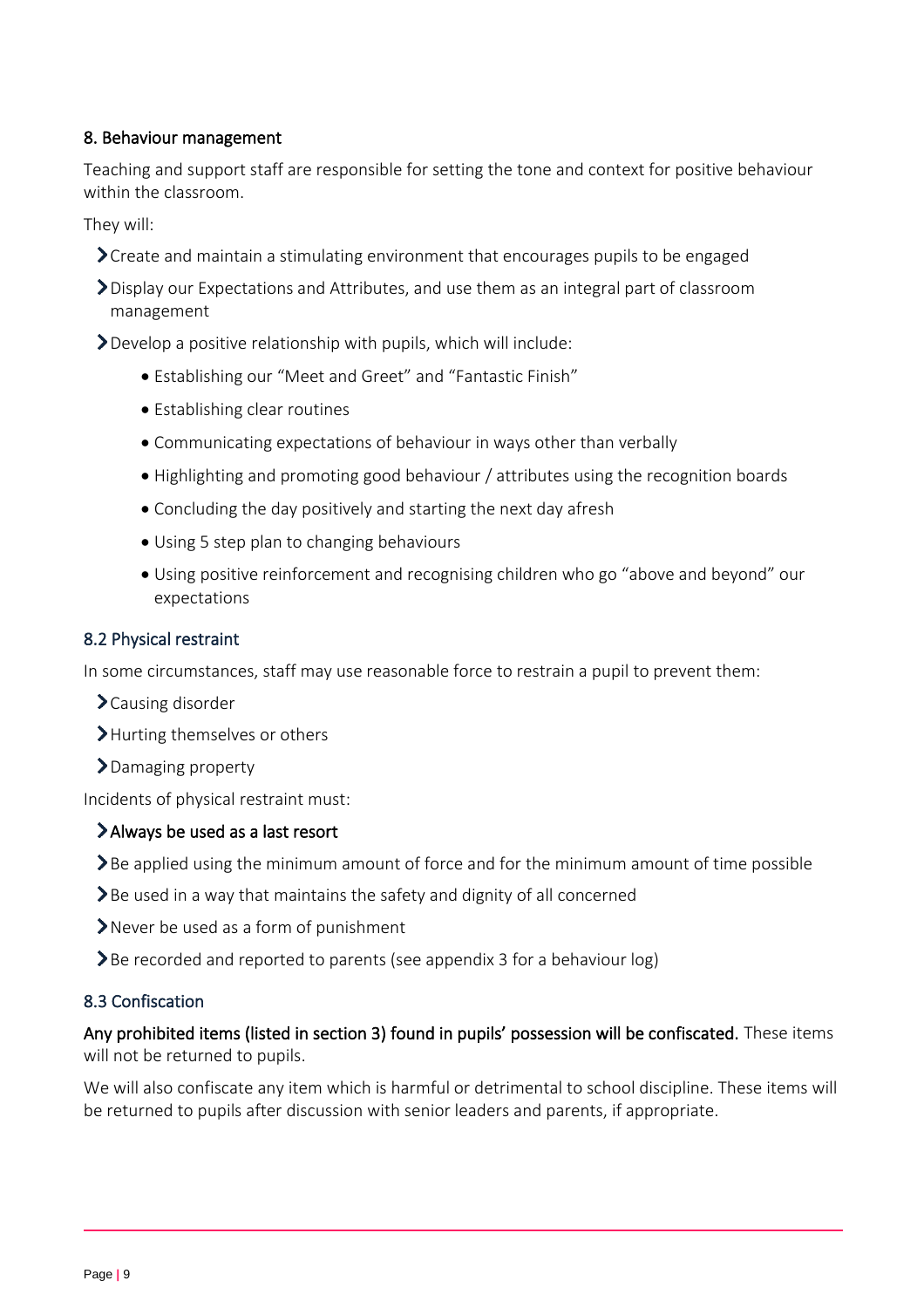# <span id="page-8-0"></span>8. Behaviour management

Teaching and support staff are responsible for setting the tone and context for positive behaviour within the classroom.

They will:

- **>** Create and maintain a stimulating environment that encourages pupils to be engaged
- Display our Expectations and Attributes, and use them as an integral part of classroom management
- Develop a positive relationship with pupils, which will include:
	- Establishing our "Meet and Greet" and "Fantastic Finish"
	- Establishing clear routines
	- Communicating expectations of behaviour in ways other than verbally
	- Highlighting and promoting good behaviour / attributes using the recognition boards
	- Concluding the day positively and starting the next day afresh
	- Using 5 step plan to changing behaviours
	- Using positive reinforcement and recognising children who go "above and beyond" our expectations

#### 8.2 Physical restraint

In some circumstances, staff may use reasonable force to restrain a pupil to prevent them:

- Causing disorder
- >Hurting themselves or others
- >Damaging property

Incidents of physical restraint must:

# Always be used as a last resort

 $\sum$  Be applied using the minimum amount of force and for the minimum amount of time possible

- $\sum$  Be used in a way that maintains the safety and dignity of all concerned
- Never be used as a form of punishment
- $\sum$  Be recorded and reported to parents (see appendix 3 for a behaviour log)

#### 8.3 Confiscation

# Any prohibited items (listed in section 3) found in pupils' possession will be confiscated. These items will not be returned to pupils.

We will also confiscate any item which is harmful or detrimental to school discipline. These items will be returned to pupils after discussion with senior leaders and parents, if appropriate.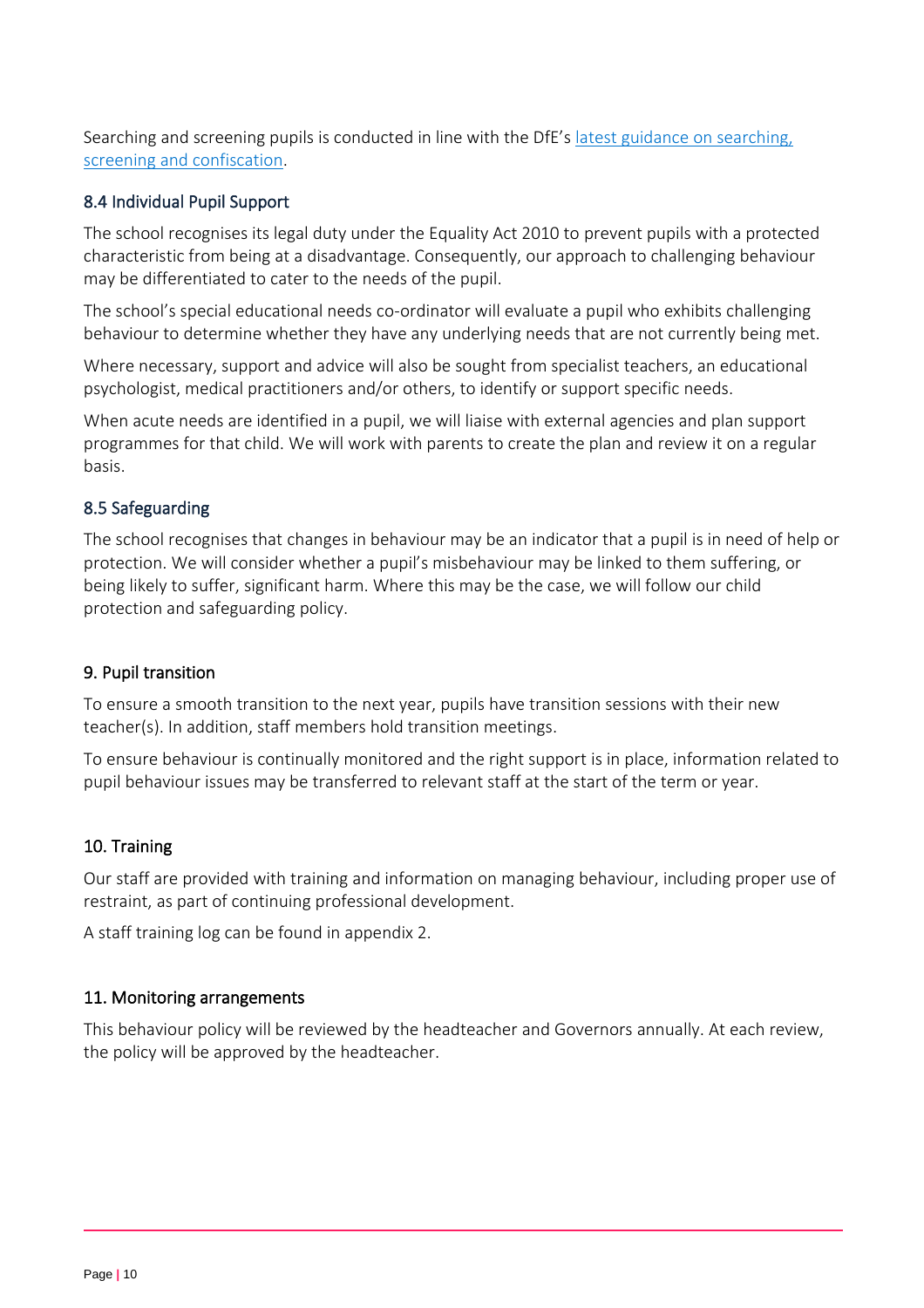Searching and screening pupils is conducted in line with the DfE's [latest guidance on searching,](https://www.gov.uk/government/publications/searching-screening-and-confiscation)  [screening and confiscation.](https://www.gov.uk/government/publications/searching-screening-and-confiscation)

# 8.4 Individual Pupil Support

The school recognises its legal duty under the Equality Act 2010 to prevent pupils with a protected characteristic from being at a disadvantage. Consequently, our approach to challenging behaviour may be differentiated to cater to the needs of the pupil.

The school's special educational needs co-ordinator will evaluate a pupil who exhibits challenging behaviour to determine whether they have any underlying needs that are not currently being met.

Where necessary, support and advice will also be sought from specialist teachers, an educational psychologist, medical practitioners and/or others, to identify or support specific needs.

When acute needs are identified in a pupil, we will liaise with external agencies and plan support programmes for that child. We will work with parents to create the plan and review it on a regular basis.

#### 8.5 Safeguarding

The school recognises that changes in behaviour may be an indicator that a pupil is in need of help or protection. We will consider whether a pupil's misbehaviour may be linked to them suffering, or being likely to suffer, significant harm. Where this may be the case, we will follow our child protection and safeguarding policy.

# <span id="page-9-0"></span>9. Pupil transition

To ensure a smooth transition to the next year, pupils have transition sessions with their new teacher(s). In addition, staff members hold transition meetings.

To ensure behaviour is continually monitored and the right support is in place, information related to pupil behaviour issues may be transferred to relevant staff at the start of the term or year.

#### <span id="page-9-1"></span>10. Training

Our staff are provided with training and information on managing behaviour, including proper use of restraint, as part of continuing professional development.

A staff training log can be found in appendix 2.

#### <span id="page-9-2"></span>11. Monitoring arrangements

This behaviour policy will be reviewed by the headteacher and Governors annually. At each review, the policy will be approved by the headteacher.